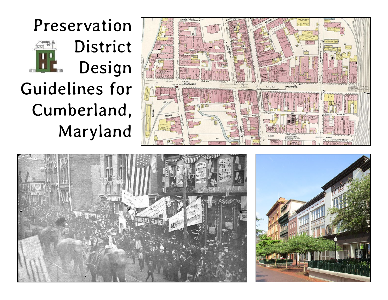





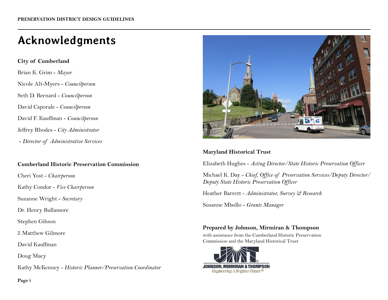# **Acknowledgments**

**City of Cumberland** Brian K. Grim - *Mayor* Nicole Alt-Myers - *Councilperson* Seth D. Bernard - *Councilperson* David Caporale - *Councilperson* David F. Kauffman - *Councilperson* Jeffrey Rhodes - *City Administrator* - *Director of Administrative Services*

#### **Cumberland Historic Preservation Commission**

Cheri Yost - *Chairperson*

Kathy Condor - *Vice Chairperson*

Suzanne Wright - *Secretary*

Dr. Henry Bullamore

Stephen Gibson

J. Matthew Gilmore

David Kauffman

Doug Macy

Kathy McKenney - *Historic Planner/Preservation Coordinator*



#### **Maryland Historical Trust**

Elizabeth Hughes - *Acting Director/State Historic Preservation Officer*

Michael K. Day - *Chief, Office of Preservation Services/Deputy Director/ Deputy State Historic Preservation Officer*

Heather Barrett - *Administrator, Survey & Research*

Susanne Mbollo - *Grants Manager*

#### **Prepared by Johnson, Mirmiran & Thompson**

with assistance from the Cumberland Historic Preservation Commission and the Maryland Historical Trust



**Page i**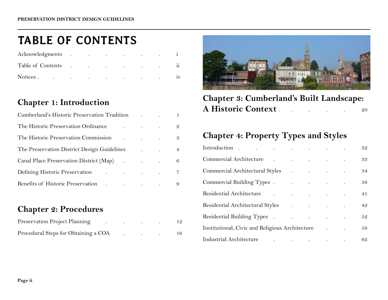## **TABLE OF CONTENTS**

| Acknowledgments.    |        | $\cdot$   | $\cdot$ | $\cdot$                           | $\cdot$ | $\cdot$ |  |
|---------------------|--------|-----------|---------|-----------------------------------|---------|---------|--|
| Table of Contents   |        | $\cdot$   | $\cdot$ | <b>Contract Contract Contract</b> | $\cdot$ | $\cdot$ |  |
| Notices.<br>$\cdot$ | $\sim$ | $\bullet$ | $\cdot$ | $\cdot$ .                         | $\cdot$ | $\cdot$ |  |

#### **Chapter 1: Introduction**

| Cumberland's Historic Preservation Tradition 1                                                                                                          |                                   |                 |
|---------------------------------------------------------------------------------------------------------------------------------------------------------|-----------------------------------|-----------------|
| The Historic Preservation Ordinance                                                                                                                     | and the state of the state of the | $\mathcal{Q}^-$ |
| The Historic Preservation Commission The Historic Preservation Commission                                                                               |                                   | 3               |
| The Preservation District Design Guidelines                                                                                                             |                                   | $4\epsilon$     |
| Canal Place Preservation District (Map) (Canal Place Preservation District (Map)                                                                        |                                   | 6               |
| Defining Historic Preservation<br>the contract of the contract of the con-                                                                              |                                   | $7\phantom{.0}$ |
| Benefits of Historic Preservation<br>$\mathcal{L}(\mathcal{A})$ and $\mathcal{L}(\mathcal{A})$ are all the set of the set of $\mathcal{L}(\mathcal{A})$ |                                   | 9               |

#### **Chapter 2: Procedures**

| Preservation Project Planning        | the control of the control of the control of |  | 12 |
|--------------------------------------|----------------------------------------------|--|----|
| Procedural Steps for Obtaining a COA |                                              |  | 16 |



**Chapter 3: Cumberland's Built Landscape:**  A Historic Context . . . . . . . . . 20

#### **Chapter 4: Property Types and Styles**

|                                                                                                                                                                                                                                |                                                 |  |  | 32 |
|--------------------------------------------------------------------------------------------------------------------------------------------------------------------------------------------------------------------------------|-------------------------------------------------|--|--|----|
| Commercial Architecture Commercial Architecture                                                                                                                                                                                |                                                 |  |  | 33 |
| Commercial Architectural Styles (Commercial Architectural Styles (Commercial Architectural Styles (Commercial Architectural Styles (Commercial Architectural Styles (Commercial Architectural Styles (Commercial Architectural |                                                 |  |  | 34 |
| Commercial Building Types.                                                                                                                                                                                                     | and the contract of the contract of             |  |  | 38 |
| Residential Architecture                                                                                                                                                                                                       | the contract of the contract of the contract of |  |  | 41 |
| Residential Architectural Styles and Architectural Styles                                                                                                                                                                      |                                                 |  |  | 42 |
| Residential Building Types.                                                                                                                                                                                                    | the contract of the contract of the con-        |  |  | 52 |
| Institutional, Civic and Religious Architecture                                                                                                                                                                                |                                                 |  |  | 58 |
| Industrial Architecture<br>$\ddot{\phantom{a}}$                                                                                                                                                                                | the contract of the contract of the contract of |  |  | 62 |
|                                                                                                                                                                                                                                |                                                 |  |  |    |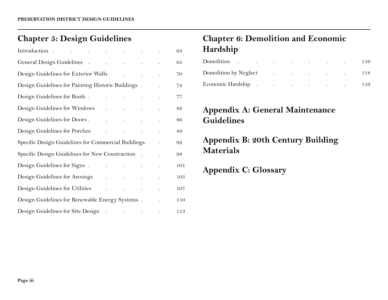### **Chapter 5: Design Guidelines**

|                                                                |                                                                                                                                                                                                                                                                                                                                                                                                                                                             |  | 63  |
|----------------------------------------------------------------|-------------------------------------------------------------------------------------------------------------------------------------------------------------------------------------------------------------------------------------------------------------------------------------------------------------------------------------------------------------------------------------------------------------------------------------------------------------|--|-----|
|                                                                |                                                                                                                                                                                                                                                                                                                                                                                                                                                             |  | 65  |
| Design Guidelines for Exterior Walls Allen Andrew Allen Anders |                                                                                                                                                                                                                                                                                                                                                                                                                                                             |  | 70  |
| Design Guidelines for Painting Historic Buildings.             |                                                                                                                                                                                                                                                                                                                                                                                                                                                             |  | 74  |
| Design Guidelines for Roofs.                                   |                                                                                                                                                                                                                                                                                                                                                                                                                                                             |  | 77  |
| Design Guidelines for Windows                                  | $\mathcal{L}^{\mathcal{A}}$ and $\mathcal{L}^{\mathcal{A}}$ are the set of the set of $\mathcal{A}$                                                                                                                                                                                                                                                                                                                                                         |  | 82  |
| Design Guidelines for Doors.                                   | $\mathbf{r}^{\prime}$ , and $\mathbf{r}^{\prime}$ , and $\mathbf{r}^{\prime}$ , and $\mathbf{r}^{\prime}$ , and $\mathbf{r}^{\prime}$                                                                                                                                                                                                                                                                                                                       |  | 86  |
| Design Guidelines for Porches                                  | and the state of the state of the                                                                                                                                                                                                                                                                                                                                                                                                                           |  | 89  |
| Specific Design Guidelines for Commercial Buildings.           |                                                                                                                                                                                                                                                                                                                                                                                                                                                             |  | 92  |
| Specific Design Guidelines for New Construction.               |                                                                                                                                                                                                                                                                                                                                                                                                                                                             |  | 98  |
| Design Guidelines for Signs.                                   | the contract of the contract of the                                                                                                                                                                                                                                                                                                                                                                                                                         |  | 101 |
| Design Guidelines for Awnings                                  | and the state of the state of the                                                                                                                                                                                                                                                                                                                                                                                                                           |  | 105 |
| Design Guidelines for Utilities                                | $\mathcal{L}^{\mathcal{A}}(\mathcal{A})$ and $\mathcal{A}^{\mathcal{A}}(\mathcal{A})$ and $\mathcal{A}^{\mathcal{A}}(\mathcal{A})$ and $\mathcal{A}^{\mathcal{A}}(\mathcal{A})$                                                                                                                                                                                                                                                                             |  | 107 |
| Design Guidelines for Renewable Energy Systems.                |                                                                                                                                                                                                                                                                                                                                                                                                                                                             |  | 110 |
| Design Guidelines for Site Design.                             | $\mathcal{L}(\mathcal{L}(\mathcal{L}(\mathcal{L}(\mathcal{L}(\mathcal{L}(\mathcal{L}(\mathcal{L}(\mathcal{L}(\mathcal{L}(\mathcal{L}(\mathcal{L}(\mathcal{L}(\mathcal{L}(\mathcal{L}(\mathcal{L}(\mathcal{L}(\mathcal{L}(\mathcal{L}(\mathcal{L}(\mathcal{L}(\mathcal{L}(\mathcal{L}(\mathcal{L}(\mathcal{L}(\mathcal{L}(\mathcal{L}(\mathcal{L}(\mathcal{L}(\mathcal{L}(\mathcal{L}(\mathcal{L}(\mathcal{L}(\mathcal{L}(\mathcal{L}(\mathcal{L}(\mathcal{$ |  | 113 |

### **Chapter 6: Demolition and Economic Hardship**

| Demolition.           | the contract of the contract of the contract of the contract of the contract of |         |                                                                 |  | -116 |
|-----------------------|---------------------------------------------------------------------------------|---------|-----------------------------------------------------------------|--|------|
| Demolition by Neglect | $\sim$                                                                          |         | the contract of the contract of the contract of the contract of |  | -118 |
| Economic Hardship.    | $\cdot$                                                                         | $\cdot$ | the contract of the contract of the contract of                 |  | 119  |

#### **Appendix A: General Maintenance Guidelines**

### **Appendix B: 20th Century Building Materials**

**Appendix C: Glossary**